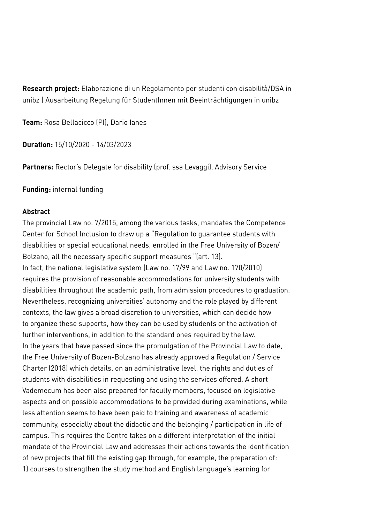**Research project:** Elaborazione di un Regolamento per studenti con disabilità/DSA in unibz | Ausarbeitung Regelung für StudentInnen mit Beeinträchtigungen in unibz

**Team:** Rosa Bellacicco (PI), Dario Ianes

**Duration:** 15/10/2020 - 14/03/2023

Partners: Rector's Delegate for disability (prof. ssa Levaggi), Advisory Service

**Funding:** internal funding

## **Abstract**

The provincial Law no. 7/2015, among the various tasks, mandates the Competence Center for School Inclusion to draw up a "Regulation to guarantee students with disabilities or special educational needs, enrolled in the Free University of Bozen/ Bolzano, all the necessary specific support measures "(art. 13). In fact, the national legislative system (Law no. 17/99 and Law no. 170/2010) requires the provision of reasonable accommodations for university students with disabilities throughout the academic path, from admission procedures to graduation. Nevertheless, recognizing universities' autonomy and the role played by different contexts, the law gives a broad discretion to universities, which can decide how to organize these supports, how they can be used by students or the activation of further interventions, in addition to the standard ones required by the law. In the years that have passed since the promulgation of the Provincial Law to date, the Free University of Bozen-Bolzano has already approved a Regulation / Service Charter (2018) which details, on an administrative level, the rights and duties of students with disabilities in requesting and using the services offered. A short Vademecum has been also prepared for faculty members, focused on legislative aspects and on possible accommodations to be provided during examinations, while less attention seems to have been paid to training and awareness of academic community, especially about the didactic and the belonging / participation in life of campus. This requires the Centre takes on a different interpretation of the initial mandate of the Provincial Law and addresses their actions towards the identification of new projects that fill the existing gap through, for example, the preparation of: 1) courses to strengthen the study method and English language's learning for